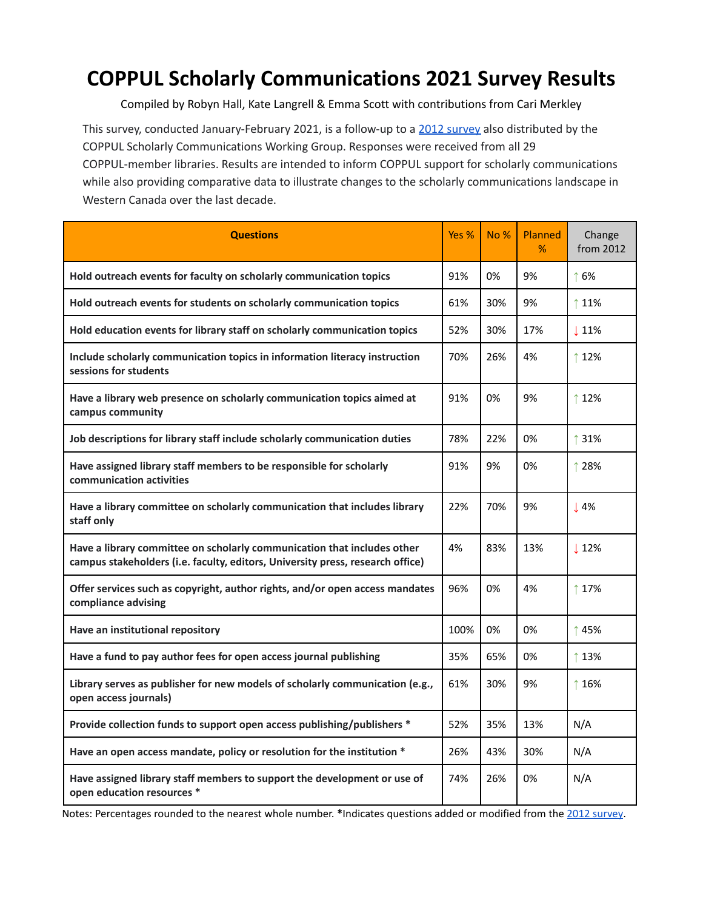## **COPPUL Scholarly Communications 2021 Survey Results**

Compiled by Robyn Hall, Kate Langrell & Emma Scott with contributions from Cari Merkley

This [survey](https://coppulscwg.files.wordpress.com/2021/04/coppul_scwg_2012survey_resultsummary.pdf), conducted January-February 2021, is a follow-up to a 2012 survey also distributed by the COPPUL Scholarly Communications Working Group. Responses were received from all 29 COPPUL-member libraries. Results are intended to inform COPPUL support for scholarly communications while also providing comparative data to illustrate changes to the scholarly communications landscape in Western Canada over the last decade.

| <b>Questions</b>                                                                                                                                          | Yes % | No% | <b>Planned</b><br>% | Change<br>from 2012 |
|-----------------------------------------------------------------------------------------------------------------------------------------------------------|-------|-----|---------------------|---------------------|
| Hold outreach events for faculty on scholarly communication topics                                                                                        | 91%   | 0%  | 9%                  | ↑6%                 |
| Hold outreach events for students on scholarly communication topics                                                                                       | 61%   | 30% | 9%                  | ↑ 11%               |
| Hold education events for library staff on scholarly communication topics                                                                                 | 52%   | 30% | 17%                 | $\downarrow$ 11%    |
| Include scholarly communication topics in information literacy instruction<br>sessions for students                                                       | 70%   | 26% | 4%                  | ↑12%                |
| Have a library web presence on scholarly communication topics aimed at<br>campus community                                                                | 91%   | 0%  | 9%                  | ↑ 12%               |
| Job descriptions for library staff include scholarly communication duties                                                                                 | 78%   | 22% | 0%                  | ↑ 31%               |
| Have assigned library staff members to be responsible for scholarly<br>communication activities                                                           | 91%   | 9%  | 0%                  | ↑ 28%               |
| Have a library committee on scholarly communication that includes library<br>staff only                                                                   | 22%   | 70% | 9%                  | $\downarrow$ 4%     |
| Have a library committee on scholarly communication that includes other<br>campus stakeholders (i.e. faculty, editors, University press, research office) | 4%    | 83% | 13%                 | $\downarrow$ 12%    |
| Offer services such as copyright, author rights, and/or open access mandates<br>compliance advising                                                       | 96%   | 0%  | 4%                  | ↑ 17%               |
| Have an institutional repository                                                                                                                          | 100%  | 0%  | 0%                  | ↑45%                |
| Have a fund to pay author fees for open access journal publishing                                                                                         | 35%   | 65% | 0%                  | ↑13%                |
| Library serves as publisher for new models of scholarly communication (e.g.,<br>open access journals)                                                     | 61%   | 30% | 9%                  | ↑16%                |
| Provide collection funds to support open access publishing/publishers *                                                                                   | 52%   | 35% | 13%                 | N/A                 |
| Have an open access mandate, policy or resolution for the institution *                                                                                   | 26%   | 43% | 30%                 | N/A                 |
| Have assigned library staff members to support the development or use of<br>open education resources *                                                    | 74%   | 26% | 0%                  | N/A                 |

Notes: Percentages rounded to the nearest whole number. **\***Indicates questions added or modified from the 2012 [survey.](https://coppulscwg.files.wordpress.com/2021/04/coppul_scwg_2012survey_resultsummary.pdf)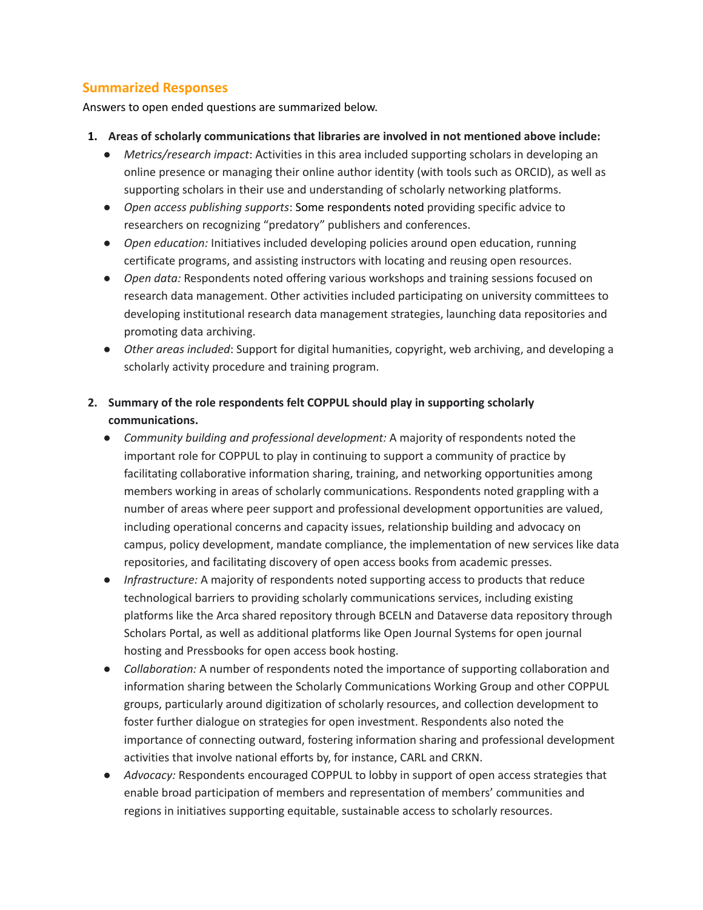## **Summarized Responses**

Answers to open ended questions are summarized below.

- **1. Areas of scholarly communications that libraries are involved in not mentioned above include:**
	- *Metrics/research impact*: Activities in this area included supporting scholars in developing an online presence or managing their online author identity (with tools such as ORCID), as well as supporting scholars in their use and understanding of scholarly networking platforms.
	- *Open access publishing supports*: Some respondents noted providing specific advice to researchers on recognizing "predatory" publishers and conferences.
	- *● Open education:* Initiatives included developing policies around open education, running certificate programs, and assisting instructors with locating and reusing open resources.
	- *Open data:* Respondents noted offering various workshops and training sessions focused on research data management. Other activities included participating on university committees to developing institutional research data management strategies, launching data repositories and promoting data archiving.
	- *Other areas included*: Support for digital humanities, copyright, web archiving, and developing a scholarly activity procedure and training program.
- **2. Summary of the role respondents felt COPPUL should play in supporting scholarly communications.**
	- *● Community building and professional development:* A majority of respondents noted the important role for COPPUL to play in continuing to support a community of practice by facilitating collaborative information sharing, training, and networking opportunities among members working in areas of scholarly communications. Respondents noted grappling with a number of areas where peer support and professional development opportunities are valued, including operational concerns and capacity issues, relationship building and advocacy on campus, policy development, mandate compliance, the implementation of new services like data repositories, and facilitating discovery of open access books from academic presses.
	- *● Infrastructure:* A majority of respondents noted supporting access to products that reduce technological barriers to providing scholarly communications services, including existing platforms like the Arca shared repository through BCELN and Dataverse data repository through Scholars Portal, as well as additional platforms like Open Journal Systems for open journal hosting and Pressbooks for open access book hosting.
	- *Collaboration:* A number of respondents noted the importance of supporting collaboration and information sharing between the Scholarly Communications Working Group and other COPPUL groups, particularly around digitization of scholarly resources, and collection development to foster further dialogue on strategies for open investment. Respondents also noted the importance of connecting outward, fostering information sharing and professional development activities that involve national efforts by, for instance, CARL and CRKN.
	- *● Advocacy:* Respondents encouraged COPPUL to lobby in support of open access strategies that enable broad participation of members and representation of members' communities and regions in initiatives supporting equitable, sustainable access to scholarly resources.